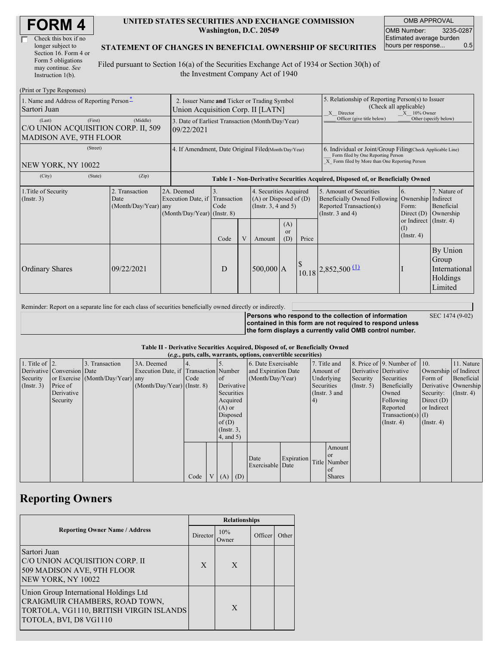| <b>FORM4</b> |
|--------------|
|--------------|

| Check this box if no  |
|-----------------------|
| longer subject to     |
| Section 16. Form 4 or |
| Form 5 obligations    |
| may continue. See     |
| Instruction 1(b).     |

#### **UNITED STATES SECURITIES AND EXCHANGE COMMISSION Washington, D.C. 20549**

OMB APPROVAL OMB Number: 3235-0287 Estimated average burden hours per response... 0.5

### **STATEMENT OF CHANGES IN BENEFICIAL OWNERSHIP OF SECURITIES**

Filed pursuant to Section 16(a) of the Securities Exchange Act of 1934 or Section 30(h) of the Investment Company Act of 1940

| (Print or Type Responses)                                                                 |                                                                                  |                                                                                      |            |  |                                                                              |                                                                                                                                                    |       |                                                                                                             |                                                                    |                                                           |
|-------------------------------------------------------------------------------------------|----------------------------------------------------------------------------------|--------------------------------------------------------------------------------------|------------|--|------------------------------------------------------------------------------|----------------------------------------------------------------------------------------------------------------------------------------------------|-------|-------------------------------------------------------------------------------------------------------------|--------------------------------------------------------------------|-----------------------------------------------------------|
| 1. Name and Address of Reporting Person-<br>Sartori Juan                                  | 2. Issuer Name and Ticker or Trading Symbol<br>Union Acquisition Corp. II [LATN] |                                                                                      |            |  |                                                                              | 5. Relationship of Reporting Person(s) to Issuer<br>(Check all applicable)<br>X Director<br>$X = 10\%$ Owner                                       |       |                                                                                                             |                                                                    |                                                           |
| (First)<br>(Last)<br>C/O UNION ACQUISITION CORP. II, 509<br><b>MADISON AVE, 9TH FLOOR</b> | 3. Date of Earliest Transaction (Month/Day/Year)<br>09/22/2021                   |                                                                                      |            |  |                                                                              | Officer (give title below)                                                                                                                         |       | Other (specify below)                                                                                       |                                                                    |                                                           |
| (Street)<br>NEW YORK, NY 10022                                                            | 4. If Amendment, Date Original Filed(Month/Day/Year)                             |                                                                                      |            |  |                                                                              | 6. Individual or Joint/Group Filing(Check Applicable Line)<br>Form filed by One Reporting Person<br>X Form filed by More than One Reporting Person |       |                                                                                                             |                                                                    |                                                           |
| (City)<br>(State)                                                                         |                                                                                  | Table I - Non-Derivative Securities Acquired, Disposed of, or Beneficially Owned     |            |  |                                                                              |                                                                                                                                                    |       |                                                                                                             |                                                                    |                                                           |
| 1. Title of Security<br>$($ Instr. 3 $)$                                                  | 2. Transaction<br>Date<br>(Month/Day/Year)                                       | 2A. Deemed<br>Execution Date, if Transaction<br>any<br>$(Month/Day/Year)$ (Instr. 8) | 3.<br>Code |  | 4. Securities Acquired<br>$(A)$ or Disposed of $(D)$<br>(Insert. 3, 4 and 5) |                                                                                                                                                    |       | 5. Amount of Securities<br>Beneficially Owned Following<br>Reported Transaction(s)<br>(Instr. $3$ and $4$ ) | 6.<br>Ownership<br>Form:<br>Direct $(D)$<br>or Indirect (Instr. 4) | 7. Nature of<br>Indirect<br>Beneficial<br>Ownership       |
|                                                                                           |                                                                                  |                                                                                      | Code       |  | Amount                                                                       | (A)<br><sub>or</sub><br>(D)                                                                                                                        | Price |                                                                                                             | (I)<br>$($ Instr. 4 $)$                                            |                                                           |
| <b>Ordinary Shares</b>                                                                    | 09/22/2021                                                                       |                                                                                      | D          |  | $500,000$ A                                                                  |                                                                                                                                                    |       | $\begin{bmatrix} \frac{8}{10.18} & 2,852,500 \end{bmatrix}$                                                 |                                                                    | By Union<br>Group<br>International<br>Holdings<br>Limited |

Reminder: Report on a separate line for each class of securities beneficially owned directly or indirectly.

**Persons who respond to the collection of information contained in this form are not required to respond unless the form displays a currently valid OMB control number.**

SEC 1474 (9-02)

**Table II - Derivative Securities Acquired, Disposed of, or Beneficially Owned**

| (e.g., puts, calls, warrants, options, convertible securities) |                            |                                  |                                       |      |                |                  |             |                     |            |            |                 |               |                              |                  |                       |
|----------------------------------------------------------------|----------------------------|----------------------------------|---------------------------------------|------|----------------|------------------|-------------|---------------------|------------|------------|-----------------|---------------|------------------------------|------------------|-----------------------|
| 1. Title of $\vert$ 2.                                         |                            | 3. Transaction                   | 3A. Deemed                            |      |                |                  |             | 6. Date Exercisable |            |            | 7. Title and    |               | 8. Price of 9. Number of 10. |                  | 11. Nature            |
|                                                                | Derivative Conversion Date |                                  | Execution Date, if Transaction Number |      |                |                  |             | and Expiration Date |            | Amount of  |                 |               | Derivative Derivative        |                  | Ownership of Indirect |
| Security                                                       |                            | or Exercise (Month/Day/Year) any |                                       | Code |                | of               |             | (Month/Day/Year)    |            | Underlying |                 | Security      | Securities                   | Form of          | Beneficial            |
| (Insert. 3)                                                    | Price of                   |                                  | $(Month/Day/Year)$ (Instr. 8)         |      |                |                  | Derivative  |                     |            | Securities |                 | $($ Instr. 5) | Beneficially                 |                  | Derivative Ownership  |
|                                                                | Derivative                 |                                  |                                       |      |                | Securities       |             |                     |            |            | (Instr. $3$ and |               | Owned                        | Security:        | $($ Instr. 4 $)$      |
|                                                                | Security                   |                                  |                                       |      |                | Acquired         |             |                     |            | (4)        |                 |               | Following                    | Direct $(D)$     |                       |
|                                                                |                            |                                  |                                       |      |                | $(A)$ or         |             |                     |            |            |                 |               | Reported                     | or Indirect      |                       |
|                                                                |                            |                                  |                                       |      |                | Disposed         |             |                     |            |            |                 |               | $Transaction(s)$ (I)         |                  |                       |
|                                                                |                            |                                  |                                       |      |                | of $(D)$         |             |                     |            |            |                 |               | $($ Instr. 4)                | $($ Instr. 4 $)$ |                       |
|                                                                |                            |                                  |                                       |      |                | $($ Instr. $3$ , |             |                     |            |            |                 |               |                              |                  |                       |
|                                                                |                            |                                  |                                       |      |                | 4, and 5)        |             |                     |            |            |                 |               |                              |                  |                       |
|                                                                |                            |                                  |                                       |      |                |                  |             |                     |            |            | Amount          |               |                              |                  |                       |
|                                                                |                            |                                  |                                       |      |                |                  |             |                     |            |            | <b>or</b>       |               |                              |                  |                       |
|                                                                |                            |                                  |                                       |      |                |                  |             | Date                | Expiration |            | Title Number    |               |                              |                  |                       |
|                                                                |                            |                                  |                                       |      |                |                  |             | Exercisable Date    |            |            | <sub>of</sub>   |               |                              |                  |                       |
|                                                                |                            |                                  |                                       | Code | V <sub>1</sub> |                  | $(A)$ $(D)$ |                     |            |            | <b>Shares</b>   |               |                              |                  |                       |

## **Reporting Owners**

|                                                                                                                                               | <b>Relationships</b> |               |         |       |  |  |  |  |
|-----------------------------------------------------------------------------------------------------------------------------------------------|----------------------|---------------|---------|-------|--|--|--|--|
| <b>Reporting Owner Name / Address</b>                                                                                                         | Director             | 10%<br>()wner | Officer | Other |  |  |  |  |
| Sartori Juan<br>C/O UNION ACOUISITION CORP. II<br>509 MADISON AVE, 9TH FLOOR<br>NEW YORK, NY 10022                                            | X                    | X             |         |       |  |  |  |  |
| Union Group International Holdings Ltd<br>CRAIGMUIR CHAMBERS, ROAD TOWN,<br>TORTOLA, VG1110, BRITISH VIRGIN ISLANDS<br>TOTOLA, BVI, D8 VG1110 |                      | X             |         |       |  |  |  |  |